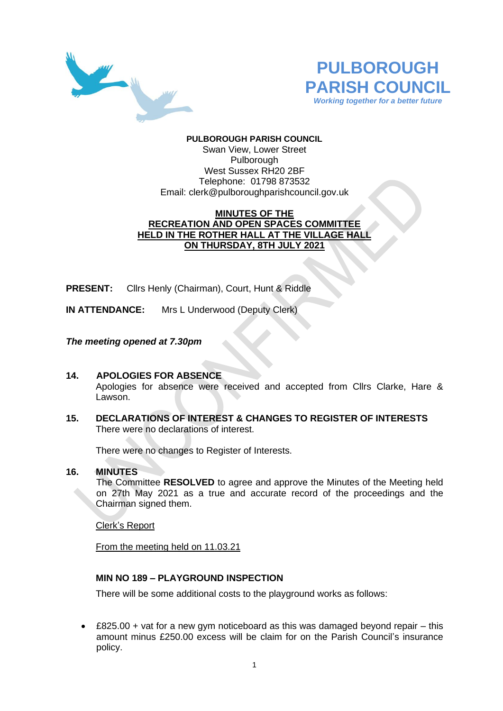



# **PULBOROUGH PARISH COUNCIL**

Swan View, Lower Street Pulborough West Sussex RH20 2BF Telephone: 01798 873532 Email: [clerk@pulboroughparishcouncil.gov.uk](mailto:clerk@pulboroughparishcouncil.gov.uk)

# **MINUTES OF THE RECREATION AND OPEN SPACES COMMITTEE HELD IN THE ROTHER HALL AT THE VILLAGE HALL ON THURSDAY, 8TH JULY 2021**

**PRESENT:** Cllrs Henly (Chairman), Court, Hunt & Riddle

**IN ATTENDANCE:** Mrs L Underwood (Deputy Clerk)

# *The meeting opened at 7.30pm*

# **14. APOLOGIES FOR ABSENCE** Apologies for absence were received and accepted from Cllrs Clarke, Hare & Lawson

**15. DECLARATIONS OF INTEREST & CHANGES TO REGISTER OF INTERESTS** There were no declarations of interest.

There were no changes to Register of Interests.

### **16. MINUTES**

The Committee **RESOLVED** to agree and approve the Minutes of the Meeting held on 27th May 2021 as a true and accurate record of the proceedings and the Chairman signed them.

Clerk's Report

From the meeting held on 11.03.21

# **MIN NO 189 – PLAYGROUND INSPECTION**

There will be some additional costs to the playground works as follows:

• £825.00 + vat for a new gym noticeboard as this was damaged beyond repair – this amount minus £250.00 excess will be claim for on the Parish Council's insurance policy.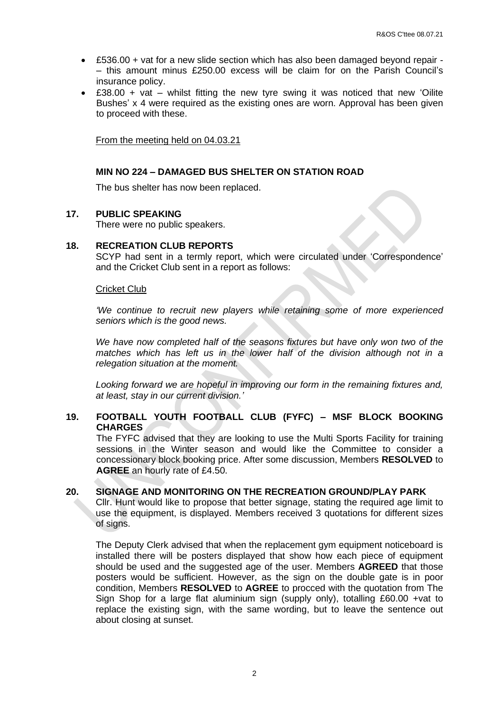- £536.00 + vat for a new slide section which has also been damaged beyond repair – this amount minus £250.00 excess will be claim for on the Parish Council's insurance policy.
- $£38.00 + vat whilst$  fitting the new tyre swing it was noticed that new 'Oilite Bushes' x 4 were required as the existing ones are worn. Approval has been given to proceed with these.

From the meeting held on 04.03.21

### **MIN NO 224 – DAMAGED BUS SHELTER ON STATION ROAD**

The bus shelter has now been replaced.

### **17. PUBLIC SPEAKING**

There were no public speakers.

### **18. RECREATION CLUB REPORTS**

SCYP had sent in a termly report, which were circulated under 'Correspondence' and the Cricket Club sent in a report as follows:

#### Cricket Club

*'We continue to recruit new players while retaining some of more experienced seniors which is the good news.*

*We have now completed half of the seasons fixtures but have only won two of the matches which has left us in the lower half of the division although not in a relegation situation at the moment.*

*Looking forward we are hopeful in improving our form in the remaining fixtures and, at least, stay in our current division.'*

# **19. FOOTBALL YOUTH FOOTBALL CLUB (FYFC) – MSF BLOCK BOOKING CHARGES**

The FYFC advised that they are looking to use the Multi Sports Facility for training sessions in the Winter season and would like the Committee to consider a concessionary block booking price. After some discussion, Members **RESOLVED** to **AGREE** an hourly rate of £4.50.

### **20. SIGNAGE AND MONITORING ON THE RECREATION GROUND/PLAY PARK**

Cllr. Hunt would like to propose that better signage, stating the required age limit to use the equipment, is displayed. Members received 3 quotations for different sizes of signs.

The Deputy Clerk advised that when the replacement gym equipment noticeboard is installed there will be posters displayed that show how each piece of equipment should be used and the suggested age of the user. Members **AGREED** that those posters would be sufficient. However, as the sign on the double gate is in poor condition, Members **RESOLVED** to **AGREE** to procced with the quotation from The Sign Shop for a large flat aluminium sign (supply only), totalling £60.00 +vat to replace the existing sign, with the same wording, but to leave the sentence out about closing at sunset.